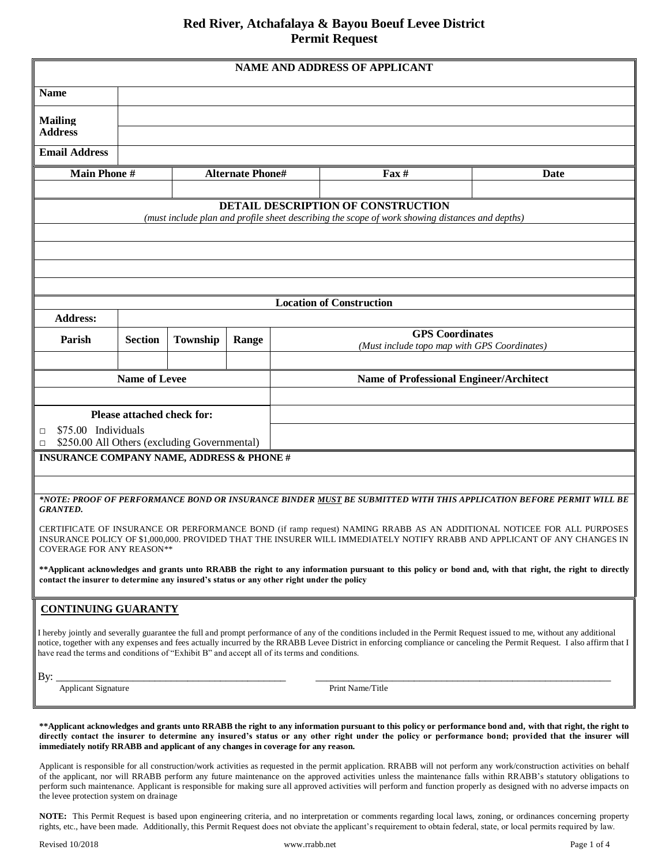## **Red River, Atchafalaya & Bayou Boeuf Levee District Permit Request**

|                                                                                                                                                                                                                                                                                                                                                                                                           |                         |                 |       |  | <b>NAME AND ADDRESS OF APPLICANT</b>                                                            |                                                                                                                                                                         |  |  |
|-----------------------------------------------------------------------------------------------------------------------------------------------------------------------------------------------------------------------------------------------------------------------------------------------------------------------------------------------------------------------------------------------------------|-------------------------|-----------------|-------|--|-------------------------------------------------------------------------------------------------|-------------------------------------------------------------------------------------------------------------------------------------------------------------------------|--|--|
| <b>Name</b>                                                                                                                                                                                                                                                                                                                                                                                               |                         |                 |       |  |                                                                                                 |                                                                                                                                                                         |  |  |
| <b>Mailing</b>                                                                                                                                                                                                                                                                                                                                                                                            |                         |                 |       |  |                                                                                                 |                                                                                                                                                                         |  |  |
| <b>Address</b>                                                                                                                                                                                                                                                                                                                                                                                            |                         |                 |       |  |                                                                                                 |                                                                                                                                                                         |  |  |
| <b>Email Address</b>                                                                                                                                                                                                                                                                                                                                                                                      |                         |                 |       |  |                                                                                                 |                                                                                                                                                                         |  |  |
| <b>Main Phone #</b>                                                                                                                                                                                                                                                                                                                                                                                       | <b>Alternate Phone#</b> |                 |       |  | $\textbf{Fax} \#$                                                                               | Date                                                                                                                                                                    |  |  |
|                                                                                                                                                                                                                                                                                                                                                                                                           |                         |                 |       |  | <b>DETAIL DESCRIPTION OF CONSTRUCTION</b>                                                       |                                                                                                                                                                         |  |  |
|                                                                                                                                                                                                                                                                                                                                                                                                           |                         |                 |       |  | (must include plan and profile sheet describing the scope of work showing distances and depths) |                                                                                                                                                                         |  |  |
|                                                                                                                                                                                                                                                                                                                                                                                                           |                         |                 |       |  |                                                                                                 |                                                                                                                                                                         |  |  |
|                                                                                                                                                                                                                                                                                                                                                                                                           |                         |                 |       |  |                                                                                                 |                                                                                                                                                                         |  |  |
|                                                                                                                                                                                                                                                                                                                                                                                                           |                         |                 |       |  |                                                                                                 |                                                                                                                                                                         |  |  |
| <b>Location of Construction</b>                                                                                                                                                                                                                                                                                                                                                                           |                         |                 |       |  |                                                                                                 |                                                                                                                                                                         |  |  |
| <b>Address:</b>                                                                                                                                                                                                                                                                                                                                                                                           |                         |                 |       |  |                                                                                                 |                                                                                                                                                                         |  |  |
| Parish                                                                                                                                                                                                                                                                                                                                                                                                    | <b>Section</b>          | <b>Township</b> | Range |  |                                                                                                 | <b>GPS</b> Coordinates<br>(Must include topo map with GPS Coordinates)                                                                                                  |  |  |
|                                                                                                                                                                                                                                                                                                                                                                                                           |                         |                 |       |  |                                                                                                 |                                                                                                                                                                         |  |  |
|                                                                                                                                                                                                                                                                                                                                                                                                           | <b>Name of Levee</b>    |                 |       |  | <b>Name of Professional Engineer/Architect</b>                                                  |                                                                                                                                                                         |  |  |
|                                                                                                                                                                                                                                                                                                                                                                                                           |                         |                 |       |  |                                                                                                 |                                                                                                                                                                         |  |  |
| Please attached check for:<br>\$75.00 Individuals<br>$\Box$                                                                                                                                                                                                                                                                                                                                               |                         |                 |       |  |                                                                                                 |                                                                                                                                                                         |  |  |
| \$250.00 All Others (excluding Governmental)<br>$\Box$                                                                                                                                                                                                                                                                                                                                                    |                         |                 |       |  |                                                                                                 |                                                                                                                                                                         |  |  |
| <b>INSURANCE COMPANY NAME, ADDRESS &amp; PHONE #</b>                                                                                                                                                                                                                                                                                                                                                      |                         |                 |       |  |                                                                                                 |                                                                                                                                                                         |  |  |
|                                                                                                                                                                                                                                                                                                                                                                                                           |                         |                 |       |  |                                                                                                 |                                                                                                                                                                         |  |  |
| <b>GRANTED.</b>                                                                                                                                                                                                                                                                                                                                                                                           |                         |                 |       |  |                                                                                                 | *NOTE: PROOF OF PERFORMANCE BOND OR INSURANCE BINDER <u>MUST</u> BE SUBMITTED WITH THIS APPLICATION BEFORE PERMIT WILL BE                                               |  |  |
| CERTIFICATE OF INSURANCE OR PERFORMANCE BOND (if ramp request) NAMING RRABB AS AN ADDITIONAL NOTICEE FOR ALL PURPOSES<br>INSURANCE POLICY OF \$1,000,000. PROVIDED THAT THE INSURER WILL IMMEDIATELY NOTIFY RRABB AND APPLICANT OF ANY CHANGES IN<br><b>COVERAGE FOR ANY REASON**</b>                                                                                                                     |                         |                 |       |  |                                                                                                 |                                                                                                                                                                         |  |  |
| ** Applicant acknowledges and grants unto RRABB the right to any information pursuant to this policy or bond and, with that right, the right to directly<br>contact the insurer to determine any insured's status or any other right under the policy                                                                                                                                                     |                         |                 |       |  |                                                                                                 |                                                                                                                                                                         |  |  |
| <b>CONTINUING GUARANTY</b>                                                                                                                                                                                                                                                                                                                                                                                |                         |                 |       |  |                                                                                                 |                                                                                                                                                                         |  |  |
| I hereby jointly and severally guarantee the full and prompt performance of any of the conditions included in the Permit Request issued to me, without any additional                                                                                                                                                                                                                                     |                         |                 |       |  |                                                                                                 |                                                                                                                                                                         |  |  |
| have read the terms and conditions of "Exhibit B" and accept all of its terms and conditions.                                                                                                                                                                                                                                                                                                             |                         |                 |       |  |                                                                                                 | notice, together with any expenses and fees actually incurred by the RRABB Levee District in enforcing compliance or canceling the Permit Request. I also affirm that I |  |  |
| By:<br>Applicant Signature                                                                                                                                                                                                                                                                                                                                                                                |                         |                 |       |  | Print Name/Title                                                                                |                                                                                                                                                                         |  |  |
|                                                                                                                                                                                                                                                                                                                                                                                                           |                         |                 |       |  |                                                                                                 |                                                                                                                                                                         |  |  |
| **Applicant acknowledges and grants unto RRABB the right to any information pursuant to this policy or performance bond and, with that right, the right to<br>directly contact the insurer to determine any insured's status or any other right under the policy or performance bond; provided that the insurer will<br>immediately notify RRABB and applicant of any changes in coverage for any reason. |                         |                 |       |  |                                                                                                 |                                                                                                                                                                         |  |  |

Applicant is responsible for all construction/work activities as requested in the permit application. RRABB will not perform any work/construction activities on behalf of the applicant, nor will RRABB perform any future maintenance on the approved activities unless the maintenance falls within RRABB's statutory obligations to perform such maintenance. Applicant is responsible for making sure all approved activities will perform and function properly as designed with no adverse impacts on the levee protection system on drainage

**NOTE:** This Permit Request is based upon engineering criteria, and no interpretation or comments regarding local laws, zoning, or ordinances concerning property rights, etc., have been made. Additionally, this Permit Request does not obviate the applicant's requirement to obtain federal, state, or local permits required by law.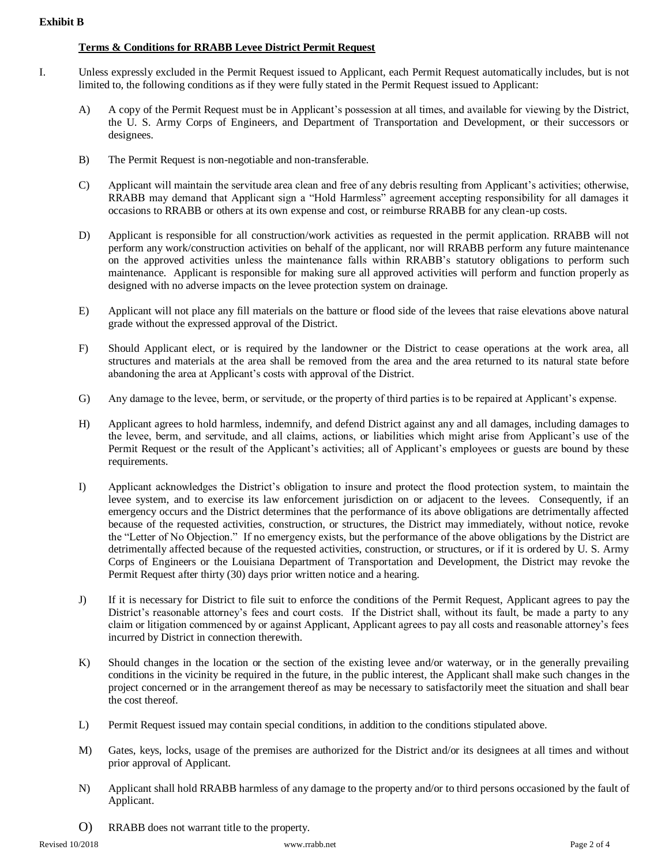## **Exhibit B**

## **Terms & Conditions for RRABB Levee District Permit Request**

- I. Unless expressly excluded in the Permit Request issued to Applicant, each Permit Request automatically includes, but is not limited to, the following conditions as if they were fully stated in the Permit Request issued to Applicant:
	- A) A copy of the Permit Request must be in Applicant's possession at all times, and available for viewing by the District, the U. S. Army Corps of Engineers, and Department of Transportation and Development, or their successors or designees.
	- B) The Permit Request is non-negotiable and non-transferable.
	- C) Applicant will maintain the servitude area clean and free of any debris resulting from Applicant's activities; otherwise, RRABB may demand that Applicant sign a "Hold Harmless" agreement accepting responsibility for all damages it occasions to RRABB or others at its own expense and cost, or reimburse RRABB for any clean-up costs.
	- D) Applicant is responsible for all construction/work activities as requested in the permit application. RRABB will not perform any work/construction activities on behalf of the applicant, nor will RRABB perform any future maintenance on the approved activities unless the maintenance falls within RRABB's statutory obligations to perform such maintenance. Applicant is responsible for making sure all approved activities will perform and function properly as designed with no adverse impacts on the levee protection system on drainage.
	- E) Applicant will not place any fill materials on the batture or flood side of the levees that raise elevations above natural grade without the expressed approval of the District.
	- F) Should Applicant elect, or is required by the landowner or the District to cease operations at the work area, all structures and materials at the area shall be removed from the area and the area returned to its natural state before abandoning the area at Applicant's costs with approval of the District.
	- G) Any damage to the levee, berm, or servitude, or the property of third parties is to be repaired at Applicant's expense.
	- H) Applicant agrees to hold harmless, indemnify, and defend District against any and all damages, including damages to the levee, berm, and servitude, and all claims, actions, or liabilities which might arise from Applicant's use of the Permit Request or the result of the Applicant's activities; all of Applicant's employees or guests are bound by these requirements.
	- I) Applicant acknowledges the District's obligation to insure and protect the flood protection system, to maintain the levee system, and to exercise its law enforcement jurisdiction on or adjacent to the levees. Consequently, if an emergency occurs and the District determines that the performance of its above obligations are detrimentally affected because of the requested activities, construction, or structures, the District may immediately, without notice, revoke the "Letter of No Objection." If no emergency exists, but the performance of the above obligations by the District are detrimentally affected because of the requested activities, construction, or structures, or if it is ordered by U. S. Army Corps of Engineers or the Louisiana Department of Transportation and Development, the District may revoke the Permit Request after thirty (30) days prior written notice and a hearing.
	- J) If it is necessary for District to file suit to enforce the conditions of the Permit Request, Applicant agrees to pay the District's reasonable attorney's fees and court costs. If the District shall, without its fault, be made a party to any claim or litigation commenced by or against Applicant, Applicant agrees to pay all costs and reasonable attorney's fees incurred by District in connection therewith.
	- K) Should changes in the location or the section of the existing levee and/or waterway, or in the generally prevailing conditions in the vicinity be required in the future, in the public interest, the Applicant shall make such changes in the project concerned or in the arrangement thereof as may be necessary to satisfactorily meet the situation and shall bear the cost thereof.
	- L) Permit Request issued may contain special conditions, in addition to the conditions stipulated above.
	- M) Gates, keys, locks, usage of the premises are authorized for the District and/or its designees at all times and without prior approval of Applicant.
	- N) Applicant shall hold RRABB harmless of any damage to the property and/or to third persons occasioned by the fault of Applicant.
	- O) RRABB does not warrant title to the property.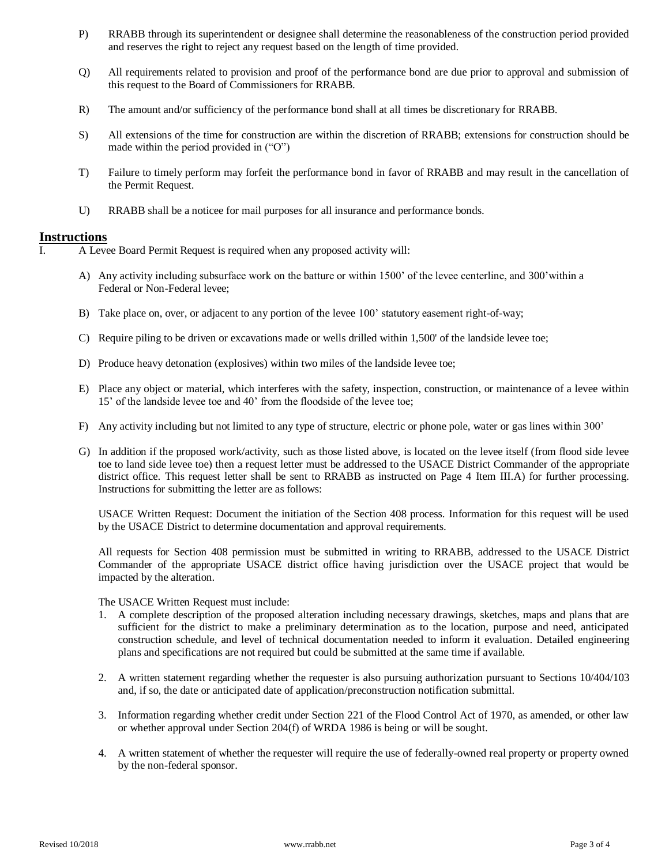- P) RRABB through its superintendent or designee shall determine the reasonableness of the construction period provided and reserves the right to reject any request based on the length of time provided.
- Q) All requirements related to provision and proof of the performance bond are due prior to approval and submission of this request to the Board of Commissioners for RRABB.
- R) The amount and/or sufficiency of the performance bond shall at all times be discretionary for RRABB.
- S) All extensions of the time for construction are within the discretion of RRABB; extensions for construction should be made within the period provided in ("O")
- T) Failure to timely perform may forfeit the performance bond in favor of RRABB and may result in the cancellation of the Permit Request.
- U) RRABB shall be a noticee for mail purposes for all insurance and performance bonds.

## **Instructions**

I. A Levee Board Permit Request is required when any proposed activity will:

- A) Any activity including subsurface work on the batture or within 1500' of the levee centerline, and 300'within a Federal or Non-Federal levee;
- B) Take place on, over, or adjacent to any portion of the levee 100' statutory easement right-of-way;
- C) Require piling to be driven or excavations made or wells drilled within 1,500' of the landside levee toe;
- D) Produce heavy detonation (explosives) within two miles of the landside levee toe;
- E) Place any object or material, which interferes with the safety, inspection, construction, or maintenance of a levee within 15' of the landside levee toe and 40' from the floodside of the levee toe;
- F) Any activity including but not limited to any type of structure, electric or phone pole, water or gas lines within 300'
- G) In addition if the proposed work/activity, such as those listed above, is located on the levee itself (from flood side levee toe to land side levee toe) then a request letter must be addressed to the USACE District Commander of the appropriate district office. This request letter shall be sent to RRABB as instructed on Page 4 Item III.A) for further processing. Instructions for submitting the letter are as follows:

USACE Written Request: Document the initiation of the Section 408 process. Information for this request will be used by the USACE District to determine documentation and approval requirements.

All requests for Section 408 permission must be submitted in writing to RRABB, addressed to the USACE District Commander of the appropriate USACE district office having jurisdiction over the USACE project that would be impacted by the alteration.

The USACE Written Request must include:

- 1. A complete description of the proposed alteration including necessary drawings, sketches, maps and plans that are sufficient for the district to make a preliminary determination as to the location, purpose and need, anticipated construction schedule, and level of technical documentation needed to inform it evaluation. Detailed engineering plans and specifications are not required but could be submitted at the same time if available.
- 2. A written statement regarding whether the requester is also pursuing authorization pursuant to Sections 10/404/103 and, if so, the date or anticipated date of application/preconstruction notification submittal.
- 3. Information regarding whether credit under Section 221 of the Flood Control Act of 1970, as amended, or other law or whether approval under Section 204(f) of WRDA 1986 is being or will be sought.
- 4. A written statement of whether the requester will require the use of federally-owned real property or property owned by the non-federal sponsor.